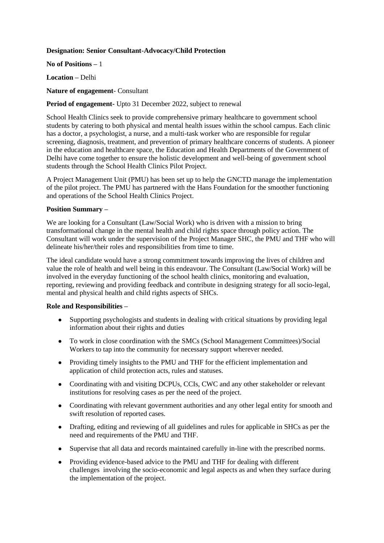## **Designation: Senior Consultant-Advocacy/Child Protection**

**No of Positions –** 1

**Location –** Delhi

#### **Nature of engagement**- Consultant

# **Period of engagement-** Upto 31 December 2022, subject to renewal

School Health Clinics seek to provide comprehensive primary healthcare to government school students by catering to both physical and mental health issues within the school campus. Each clinic has a doctor, a psychologist, a nurse, and a multi-task worker who are responsible for regular screening, diagnosis, treatment, and prevention of primary healthcare concerns of students. A pioneer in the education and healthcare space, the Education and Health Departments of the Government of Delhi have come together to ensure the holistic development and well-being of government school students through the School Health Clinics Pilot Project.

A Project Management Unit (PMU) has been set up to help the GNCTD manage the implementation of the pilot project. The PMU has partnered with the Hans Foundation for the smoother functioning and operations of the School Health Clinics Project.

## **Position Summary –**

We are looking for a Consultant (Law/Social Work) who is driven with a mission to bring transformational change in the mental health and child rights space through policy action. The Consultant will work under the supervision of the Project Manager SHC, the PMU and THF who will delineate his/her/their roles and responsibilities from time to time.

The ideal candidate would have a strong commitment towards improving the lives of children and value the role of health and well being in this endeavour. The Consultant (Law/Social Work) will be involved in the everyday functioning of the school health clinics, monitoring and evaluation, reporting, reviewing and providing feedback and contribute in designing strategy for all socio-legal, mental and physical health and child rights aspects of SHCs.

#### **Role and Responsibilities –**

- Supporting psychologists and students in dealing with critical situations by providing legal information about their rights and duties
- To work in close coordination with the SMCs (School Management Committees)/Social Workers to tap into the community for necessary support wherever needed.
- Providing timely insights to the PMU and THF for the efficient implementation and application of child protection acts, rules and statuses.
- Coordinating with and visiting DCPUs, CCIs, CWC and any other stakeholder or relevant institutions for resolving cases as per the need of the project.
- Coordinating with relevant government authorities and any other legal entity for smooth and swift resolution of reported cases.
- Drafting, editing and reviewing of all guidelines and rules for applicable in SHCs as per the need and requirements of the PMU and THF.
- Supervise that all data and records maintained carefully in-line with the prescribed norms.
- Providing evidence-based advice to the PMU and THF for dealing with different challenges involving the socio-economic and legal aspects as and when they surface during the implementation of the project.